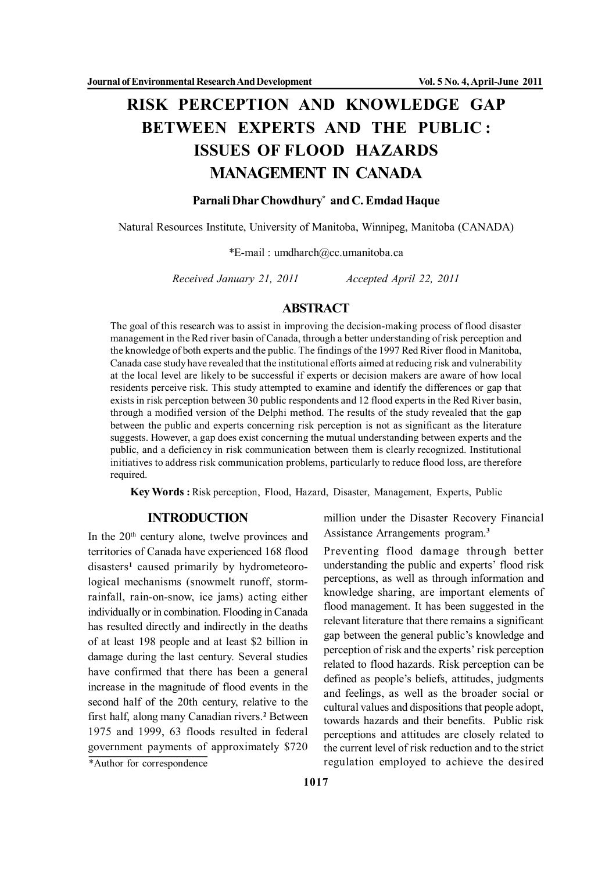# **RISK PERCEPTION AND KNOWLEDGE GAP BETWEEN EXPERTS AND THE PUBLIC : ISSUES OF FLOOD HAZARDS MANAGEMENT IN CANADA**

#### **Parnali Dhar Chowdhury\* and C. Emdad Haque**

Natural Resources Institute, University of Manitoba, Winnipeg, Manitoba (CANADA)

\*E-mail : umdharch@cc.umanitoba.ca

*Received January 21, 2011 Accepted April 22, 2011*

## **ABSTRACT**

The goal of this research was to assist in improving the decision-making process of flood disaster management in the Red river basin of Canada, through a better understanding of risk perception and the knowledge of both experts and the public. The findings of the 1997 Red River flood in Manitoba, Canada case study have revealed that the institutional efforts aimed at reducing risk and vulnerability at the local level are likely to be successful if experts or decision makers are aware of how local residents perceive risk. This study attempted to examine and identify the differences or gap that exists in risk perception between 30 public respondents and 12 flood experts in the Red River basin, through a modified version of the Delphi method. The results of the study revealed that the gap between the public and experts concerning risk perception is not as significant as the literature suggests. However, a gap does exist concerning the mutual understanding between experts and the public, and a deficiency in risk communication between them is clearly recognized. Institutional initiatives to address risk communication problems, particularly to reduce flood loss, are therefore required.

**Key Words :** Risk perception, Flood, Hazard, Disaster, Management, Experts, Public

## **INTRODUCTION**

In the  $20<sup>th</sup>$  century alone, twelve provinces and territories of Canada have experienced 168 flood disasters**<sup>1</sup>** caused primarily by hydrometeorological mechanisms (snowmelt runoff, stormrainfall, rain-on-snow, ice jams) acting either individually or in combination. Flooding in Canada has resulted directly and indirectly in the deaths of at least 198 people and at least \$2 billion in damage during the last century. Several studies have confirmed that there has been a general increase in the magnitude of flood events in the second half of the 20th century, relative to the first half, along many Canadian rivers.**<sup>2</sup>** Between 1975 and 1999, 63 floods resulted in federal government payments of approximately \$720

million under the Disaster Recovery Financial Assistance Arrangements program.**<sup>3</sup>**

Preventing flood damage through better understanding the public and experts' flood risk perceptions, as well as through information and knowledge sharing, are important elements of flood management. It has been suggested in the relevant literature that there remains a significant gap between the general public's knowledge and perception of risk and the experts' risk perception related to flood hazards. Risk perception can be defined as people's beliefs, attitudes, judgments and feelings, as well as the broader social or cultural values and dispositions that people adopt, towards hazards and their benefits. Public risk perceptions and attitudes are closely related to the current level of risk reduction and to the strict \*Author for correspondence regulation employed to achieve the desired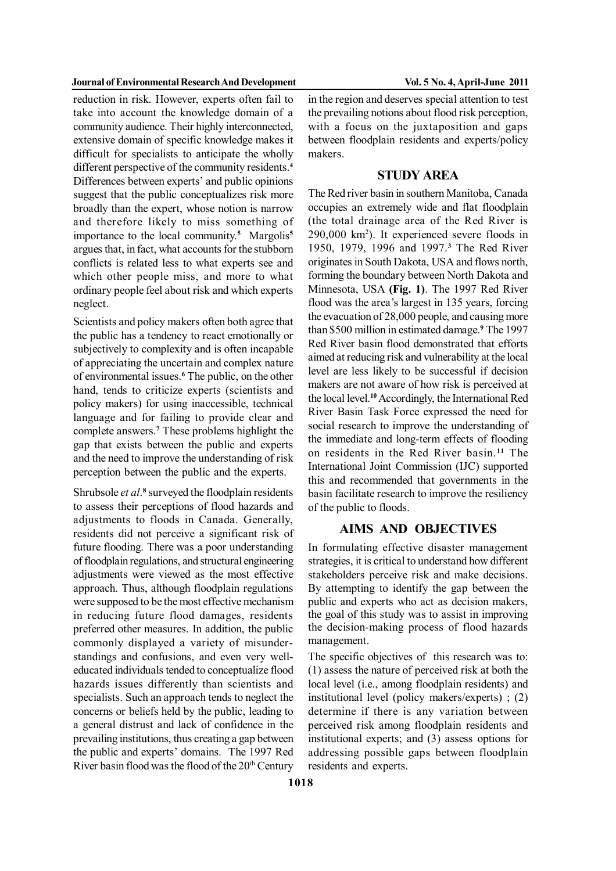reduction in risk. However, experts often fail to take into account the knowledge domain of a community audience. Their highly interconnected, extensive domain of specific knowledge makes it difficult for specialists to anticipate the wholly different perspective of the community residents.**<sup>4</sup>** Differences between experts' and public opinions suggest that the public conceptualizes risk more broadly than the expert, whose notion is narrow and therefore likely to miss something of importance to the local community.**<sup>5</sup>** Margolis**<sup>5</sup>** argues that, in fact, what accounts for the stubborn conflicts is related less to what experts see and which other people miss, and more to what ordinary people feel about risk and which experts neglect.

Scientists and policy makers often both agree that the public has a tendency to react emotionally or subjectively to complexity and is often incapable of appreciating the uncertain and complex nature of environmental issues.**<sup>6</sup>** The public, on the other hand, tends to criticize experts (scientists and policy makers) for using inaccessible, technical language and for failing to provide clear and complete answers.**<sup>7</sup>** These problems highlight the gap that exists between the public and experts and the need to improve the understanding of risk perception between the public and the experts.

Shrubsole *et al*.<sup>8</sup> surveyed the floodplain residents to assess their perceptions of flood hazards and adjustments to floods in Canada. Generally, residents did not perceive a significant risk of future flooding. There was a poor understanding of floodplain regulations, and structural engineering adjustments were viewed as the most effective approach. Thus, although floodplain regulations were supposed to be the most effective mechanism in reducing future flood damages, residents preferred other measures. In addition, the public commonly displayed a variety of misunderstandings and confusions, and even very welleducated individuals tended to conceptualize flood hazards issues differently than scientists and specialists. Such an approach tends to neglect the concerns or beliefs held by the public, leading to a general distrust and lack of confidence in the prevailing institutions, thus creating a gap between the public and experts' domains. The 1997 Red River basin flood was the flood of the  $20<sup>th</sup>$  Century

in the region and deserves special attention to test the prevailing notions about flood risk perception, with a focus on the juxtaposition and gaps between floodplain residents and experts/policy makers.

### **STUDY AREA**

The Red river basin in southern Manitoba, Canada occupies an extremely wide and flat floodplain (the total drainage area of the Red River is 290,000 km<sup>2</sup> ). It experienced severe floods in 1950, 1979, 1996 and 1997.**<sup>3</sup>** The Red River originates in South Dakota, USA and flows north, forming the boundary between North Dakota and Minnesota, USA **(Fig. 1)**. The 1997 Red River flood was the area's largest in 135 years, forcing the evacuation of 28,000 people, and causing more than \$500 million in estimated damage.**<sup>9</sup>** The 1997 Red River basin flood demonstrated that efforts aimed at reducing risk and vulnerability at the local level are less likely to be successful if decision makers are not aware of how risk is perceived at the local level.**<sup>10</sup>** Accordingly, the International Red River Basin Task Force expressed the need for social research to improve the understanding of the immediate and long-term effects of flooding on residents in the Red River basin. **<sup>11</sup>** The International Joint Commission (IJC) supported this and recommended that governments in the basin facilitate research to improve the resiliency of the public to floods.

### **AIMS AND OBJECTIVES**

In formulating effective disaster management strategies, it is critical to understand how different stakeholders perceive risk and make decisions. By attempting to identify the gap between the public and experts who act as decision makers, the goal of this study was to assist in improving the decision-making process of flood hazards management.

The specific objectives of this research was to: (1) assess the nature of perceived risk at both the local level (i.e., among floodplain residents) and institutional level (policy makers/experts) ; (2) determine if there is any variation between perceived risk among floodplain residents and institutional experts; and (3) assess options for addressing possible gaps between floodplain residents and experts.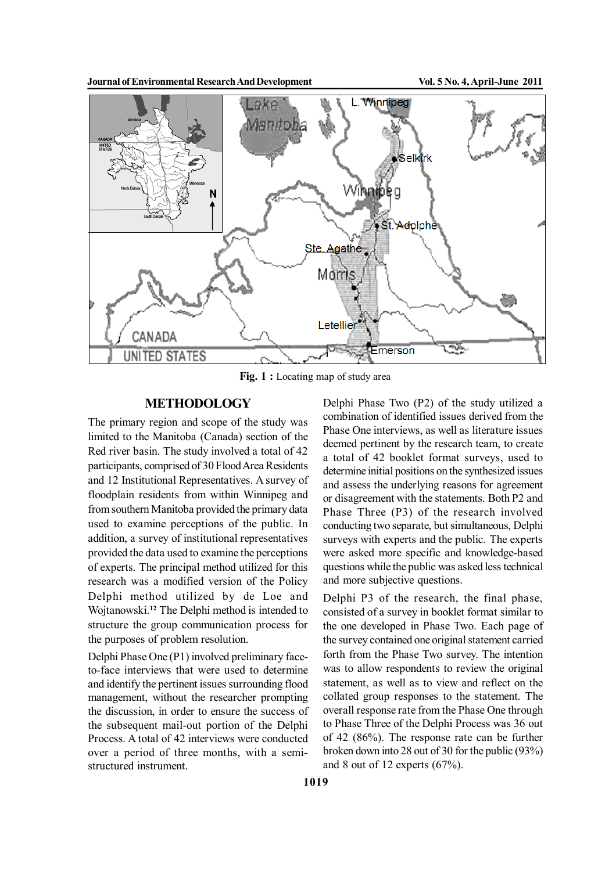

Fig. 1 : Locating map of study area

#### **METHODOLOGY**

The primary region and scope of the study was limited to the Manitoba (Canada) section of the Red river basin. The study involved a total of 42 participants, comprised of 30 Flood Area Residents and 12 Institutional Representatives. A survey of floodplain residents from within Winnipeg and from southern Manitoba provided the primary data used to examine perceptions of the public. In addition, a survey of institutional representatives provided the data used to examine the perceptions of experts. The principal method utilized for this research was a modified version of the Policy Delphi method utilized by de Loe and Wojtanowski.**<sup>12</sup>** The Delphi method is intended to structure the group communication process for the purposes of problem resolution.

Delphi Phase One (P1) involved preliminary faceto-face interviews that were used to determine and identify the pertinent issues surrounding flood management, without the researcher prompting the discussion, in order to ensure the success of the subsequent mail-out portion of the Delphi Process. A total of 42 interviews were conducted over a period of three months, with a semistructured instrument.

Delphi Phase Two (P2) of the study utilized a combination of identified issues derived from the Phase One interviews, as well as literature issues deemed pertinent by the research team, to create a total of 42 booklet format surveys, used to determine initial positions on the synthesized issues and assess the underlying reasons for agreement or disagreement with the statements. Both P2 and Phase Three (P3) of the research involved conducting two separate, but simultaneous, Delphi surveys with experts and the public. The experts were asked more specific and knowledge-based questions while the public was asked less technical and more subjective questions.

Delphi P3 of the research, the final phase, consisted of a survey in booklet format similar to the one developed in Phase Two. Each page of the survey contained one original statement carried forth from the Phase Two survey. The intention was to allow respondents to review the original statement, as well as to view and reflect on the collated group responses to the statement. The overall response rate from the Phase One through to Phase Three of the Delphi Process was 36 out of 42 (86%). The response rate can be further broken down into 28 out of 30 for the public (93%) and 8 out of 12 experts (67%).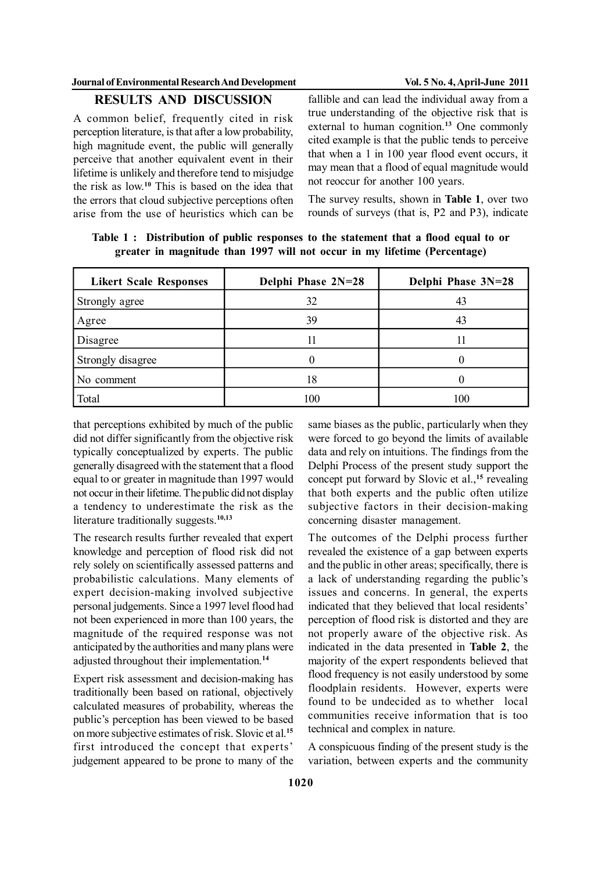# **RESULTS AND DISCUSSION**

A common belief, frequently cited in risk perception literature, is that after a low probability, high magnitude event, the public will generally perceive that another equivalent event in their lifetime is unlikely and therefore tend to misjudge the risk as low.**<sup>10</sup>** This is based on the idea that the errors that cloud subjective perceptions often arise from the use of heuristics which can be

fallible and can lead the individual away from a true understanding of the objective risk that is external to human cognition.**<sup>13</sup>** One commonly cited example is that the public tends to perceive that when a 1 in 100 year flood event occurs, it may mean that a flood of equal magnitude would not reoccur for another 100 years.

The survey results, shown in **Table 1**, over two rounds of surveys (that is, P2 and P3), indicate

| <b>Likert Scale Responses</b> | Delphi Phase 2N=28 | Delphi Phase 3N=28 |
|-------------------------------|--------------------|--------------------|
| Strongly agree                | 32                 | 43                 |
| Agree                         | 39                 | 43                 |
| Disagree                      |                    |                    |
| Strongly disagree             |                    |                    |
| No comment                    | 18                 |                    |
| Total                         | 100                | 100                |

**Table 1 : Distribution of public responses to the statement that a flood equal to or greater in magnitude than 1997 will not occur in my lifetime (Percentage)**

that perceptions exhibited by much of the public did not differ significantly from the objective risk typically conceptualized by experts. The public generally disagreed with the statement that a flood equal to or greater in magnitude than 1997 would not occur in their lifetime. The public did not display a tendency to underestimate the risk as the literature traditionally suggests.**10,13**

The research results further revealed that expert knowledge and perception of flood risk did not rely solely on scientifically assessed patterns and probabilistic calculations. Many elements of expert decision-making involved subjective personal judgements. Since a 1997 level flood had not been experienced in more than 100 years, the magnitude of the required response was not anticipated by the authorities and many plans were adjusted throughout their implementation.**<sup>14</sup>**

Expert risk assessment and decision-making has traditionally been based on rational, objectively calculated measures of probability, whereas the public's perception has been viewed to be based on more subjective estimates of risk. Slovic et al.**<sup>15</sup>** first introduced the concept that experts' judgement appeared to be prone to many of the

same biases as the public, particularly when they were forced to go beyond the limits of available data and rely on intuitions. The findings from the Delphi Process of the present study support the concept put forward by Slovic et al.,**<sup>15</sup>** revealing that both experts and the public often utilize subjective factors in their decision-making concerning disaster management.

The outcomes of the Delphi process further revealed the existence of a gap between experts and the public in other areas; specifically, there is a lack of understanding regarding the public's issues and concerns. In general, the experts indicated that they believed that local residents' perception of flood risk is distorted and they are not properly aware of the objective risk. As indicated in the data presented in **Table 2**, the majority of the expert respondents believed that flood frequency is not easily understood by some floodplain residents. However, experts were found to be undecided as to whether local communities receive information that is too technical and complex in nature.

A conspicuous finding of the present study is the variation, between experts and the community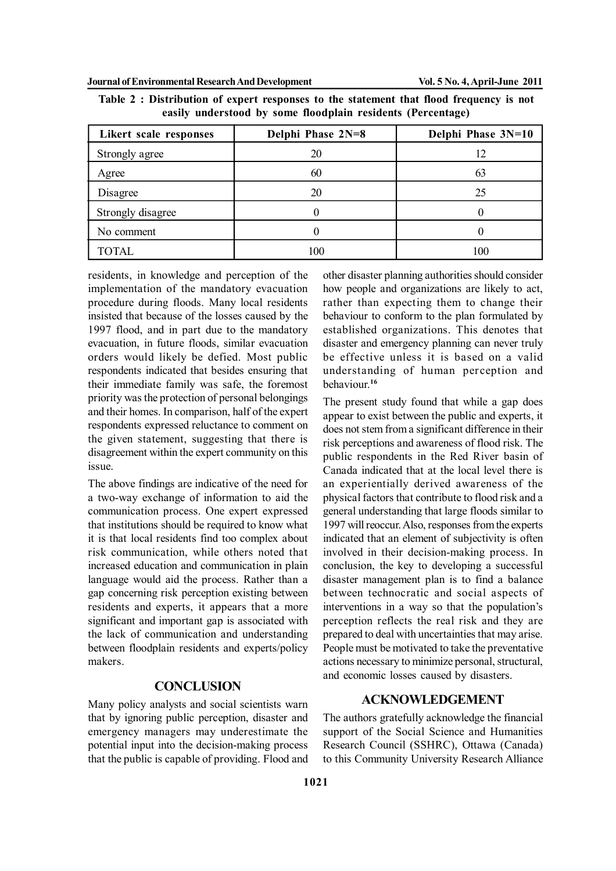| Likert scale responses | Delphi Phase 2N=8 | Delphi Phase 3N=10 |
|------------------------|-------------------|--------------------|
| Strongly agree         | 20                |                    |
| Agree                  | 60                | 63                 |
| Disagree               | 20                | 25                 |
| Strongly disagree      |                   |                    |
| No comment             |                   |                    |
| <b>TOTAL</b>           | 100               | 100                |

**Table 2 : Distribution of expert responses to the statement that flood frequency is not easily understood by some floodplain residents (Percentage)**

residents, in knowledge and perception of the implementation of the mandatory evacuation procedure during floods. Many local residents insisted that because of the losses caused by the 1997 flood, and in part due to the mandatory evacuation, in future floods, similar evacuation orders would likely be defied. Most public respondents indicated that besides ensuring that their immediate family was safe, the foremost priority was the protection of personal belongings and their homes. In comparison, half of the expert respondents expressed reluctance to comment on the given statement, suggesting that there is disagreement within the expert community on this issue.

The above findings are indicative of the need for a two-way exchange of information to aid the communication process. One expert expressed that institutions should be required to know what it is that local residents find too complex about risk communication, while others noted that increased education and communication in plain language would aid the process. Rather than a gap concerning risk perception existing between residents and experts, it appears that a more significant and important gap is associated with the lack of communication and understanding between floodplain residents and experts/policy makers.

## **CONCLUSION**

Many policy analysts and social scientists warn that by ignoring public perception, disaster and emergency managers may underestimate the potential input into the decision-making process that the public is capable of providing. Flood and other disaster planning authorities should consider how people and organizations are likely to act, rather than expecting them to change their behaviour to conform to the plan formulated by established organizations. This denotes that disaster and emergency planning can never truly be effective unless it is based on a valid understanding of human perception and behaviour.**<sup>16</sup>**

The present study found that while a gap does appear to exist between the public and experts, it does not stem from a significant difference in their risk perceptions and awareness of flood risk. The public respondents in the Red River basin of Canada indicated that at the local level there is an experientially derived awareness of the physical factors that contribute to flood risk and a general understanding that large floods similar to 1997 will reoccur. Also, responses from the experts indicated that an element of subjectivity is often involved in their decision-making process. In conclusion, the key to developing a successful disaster management plan is to find a balance between technocratic and social aspects of interventions in a way so that the population's perception reflects the real risk and they are prepared to deal with uncertainties that may arise. People must be motivated to take the preventative actions necessary to minimize personal, structural, and economic losses caused by disasters.

# **ACKNOWLEDGEMENT**

The authors gratefully acknowledge the financial support of the Social Science and Humanities Research Council (SSHRC), Ottawa (Canada) to this Community University Research Alliance